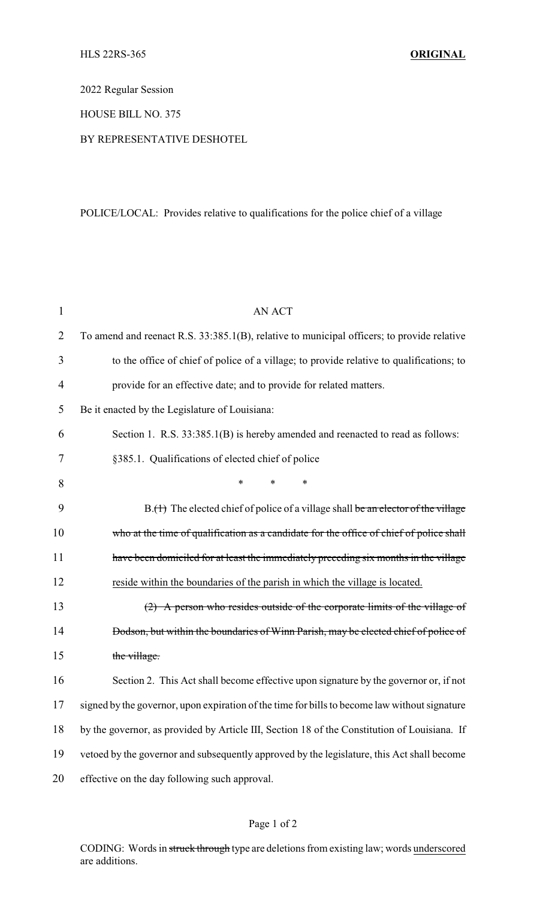2022 Regular Session

HOUSE BILL NO. 375

## BY REPRESENTATIVE DESHOTEL

## POLICE/LOCAL: Provides relative to qualifications for the police chief of a village

| $\mathbf{1}$ | <b>AN ACT</b>                                                                                 |  |  |
|--------------|-----------------------------------------------------------------------------------------------|--|--|
| 2            | To amend and reenact R.S. 33:385.1(B), relative to municipal officers; to provide relative    |  |  |
| 3            | to the office of chief of police of a village; to provide relative to qualifications; to      |  |  |
| 4            | provide for an effective date; and to provide for related matters.                            |  |  |
| 5            | Be it enacted by the Legislature of Louisiana:                                                |  |  |
| 6            | Section 1. R.S. 33:385.1(B) is hereby amended and reenacted to read as follows:               |  |  |
| 7            | §385.1. Qualifications of elected chief of police                                             |  |  |
| 8            | *<br>∗<br>*                                                                                   |  |  |
| 9            | $B.(t)$ The elected chief of police of a village shall be an elector of the village           |  |  |
| 10           | who at the time of qualification as a candidate for the office of chief of police shall       |  |  |
| 11           | have been domiciled for at least the immediately preceding six months in the village          |  |  |
| 12           | reside within the boundaries of the parish in which the village is located.                   |  |  |
| 13           | $(2)$ A person who resides outside of the corporate limits of the village of                  |  |  |
| 14           | Dodson, but within the boundaries of Winn Parish, may be elected chief of police of           |  |  |
| 15           | the village.                                                                                  |  |  |
| 16           | Section 2. This Act shall become effective upon signature by the governor or, if not          |  |  |
| 17           | signed by the governor, upon expiration of the time for bills to become law without signature |  |  |
| 18           | by the governor, as provided by Article III, Section 18 of the Constitution of Louisiana. If  |  |  |
| 19           | vetoed by the governor and subsequently approved by the legislature, this Act shall become    |  |  |
| 20           | effective on the day following such approval.                                                 |  |  |

## Page 1 of 2

CODING: Words in struck through type are deletions from existing law; words underscored are additions.